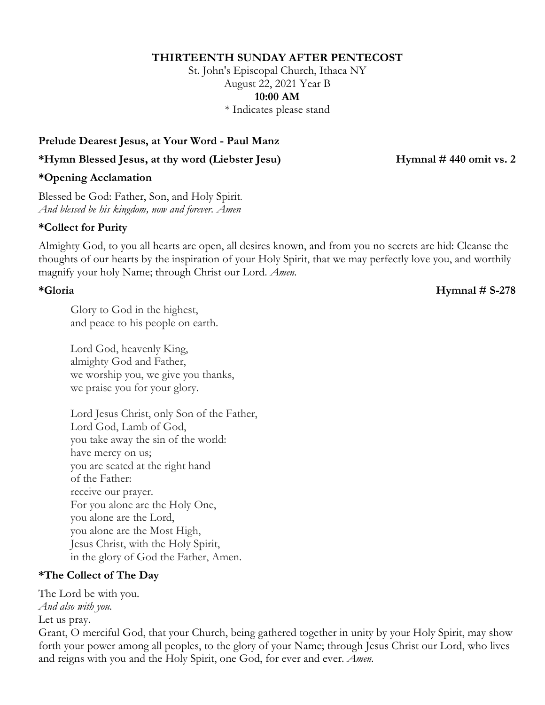### **THIRTEENTH SUNDAY AFTER PENTECOST**

St. John's Episcopal Church, Ithaca NY August 22, 2021 Year B **10:00 AM**

\* Indicates please stand

### **Prelude Dearest Jesus, at Your Word - Paul Manz**

**\*Hymn Blessed Jesus, at thy word (Liebster Jesu) Hymnal # 440 omit vs. 2**

**\*Opening Acclamation**

Blessed be God: Father, Son, and Holy Spirit. *And blessed be his kingdom, now and forever. Amen*

### **\*Collect for Purity**

Almighty God, to you all hearts are open, all desires known, and from you no secrets are hid: Cleanse the thoughts of our hearts by the inspiration of your Holy Spirit, that we may perfectly love you, and worthily magnify your holy Name; through Christ our Lord. *Amen.*

**\*Gloria Hymnal # S-278**

Glory to God in the highest, and peace to his people on earth.

Lord God, heavenly King, almighty God and Father, we worship you, we give you thanks, we praise you for your glory.

Lord Jesus Christ, only Son of the Father, Lord God, Lamb of God, you take away the sin of the world: have mercy on us; you are seated at the right hand of the Father: receive our prayer. For you alone are the Holy One, you alone are the Lord, you alone are the Most High, Jesus Christ, with the Holy Spirit, in the glory of God the Father, Amen.

## **\*The Collect of The Day**

The Lord be with you.

*And also with you.*

Let us pray.

Grant, O merciful God, that your Church, being gathered together in unity by your Holy Spirit, may show forth your power among all peoples, to the glory of your Name; through Jesus Christ our Lord, who lives and reigns with you and the Holy Spirit, one God, for ever and ever. *Amen.*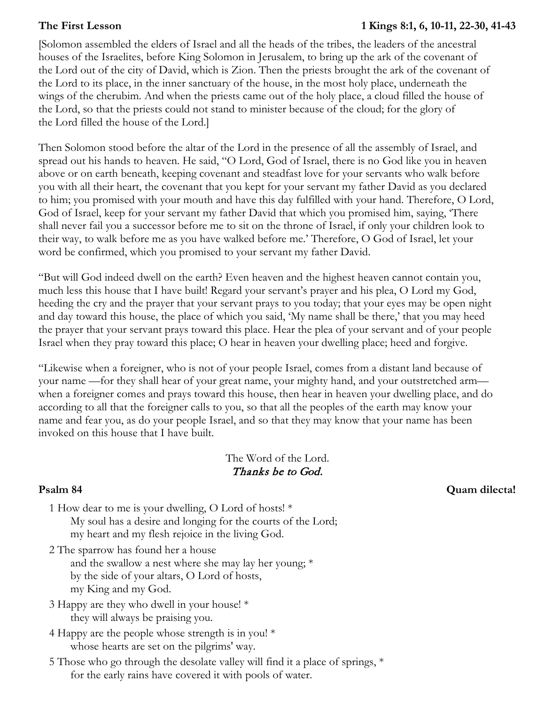### **The First Lesson 1 Kings 8:1, 6, 10-11, 22-30, 41-43**

[Solomon assembled the elders of Israel and all the heads of the tribes, the leaders of the ancestral houses of the Israelites, before King Solomon in Jerusalem, to bring up the ark of the covenant of the Lord out of the city of David, which is Zion. Then the priests brought the ark of the covenant of the Lord to its place, in the inner sanctuary of the house, in the most holy place, underneath the wings of the cherubim. And when the priests came out of the holy place, a cloud filled the house of the Lord, so that the priests could not stand to minister because of the cloud; for the glory of the Lord filled the house of the Lord.]

Then Solomon stood before the altar of the Lord in the presence of all the assembly of Israel, and spread out his hands to heaven. He said, "O Lord, God of Israel, there is no God like you in heaven above or on earth beneath, keeping covenant and steadfast love for your servants who walk before you with all their heart, the covenant that you kept for your servant my father David as you declared to him; you promised with your mouth and have this day fulfilled with your hand. Therefore, O Lord, God of Israel, keep for your servant my father David that which you promised him, saying, 'There shall never fail you a successor before me to sit on the throne of Israel, if only your children look to their way, to walk before me as you have walked before me.' Therefore, O God of Israel, let your word be confirmed, which you promised to your servant my father David.

"But will God indeed dwell on the earth? Even heaven and the highest heaven cannot contain you, much less this house that I have built! Regard your servant's prayer and his plea, O Lord my God, heeding the cry and the prayer that your servant prays to you today; that your eyes may be open night and day toward this house, the place of which you said, 'My name shall be there,' that you may heed the prayer that your servant prays toward this place. Hear the plea of your servant and of your people Israel when they pray toward this place; O hear in heaven your dwelling place; heed and forgive.

"Likewise when a foreigner, who is not of your people Israel, comes from a distant land because of your name —for they shall hear of your great name, your mighty hand, and your outstretched arm when a foreigner comes and prays toward this house, then hear in heaven your dwelling place, and do according to all that the foreigner calls to you, so that all the peoples of the earth may know your name and fear you, as do your people Israel, and so that they may know that your name has been invoked on this house that I have built.

# The Word of the Lord. Thanks be to God.

- 1 How dear to me is your dwelling, O Lord of hosts! \* My soul has a desire and longing for the courts of the Lord; my heart and my flesh rejoice in the living God.
- 2 The sparrow has found her a house and the swallow a nest where she may lay her young; \* by the side of your altars, O Lord of hosts, my King and my God.
- 3 Happy are they who dwell in your house! \* they will always be praising you.
- 4 Happy are the people whose strength is in you! \* whose hearts are set on the pilgrims' way.
- 5 Those who go through the desolate valley will find it a place of springs, \* for the early rains have covered it with pools of water.

**Psalm 84 Quam dilecta!**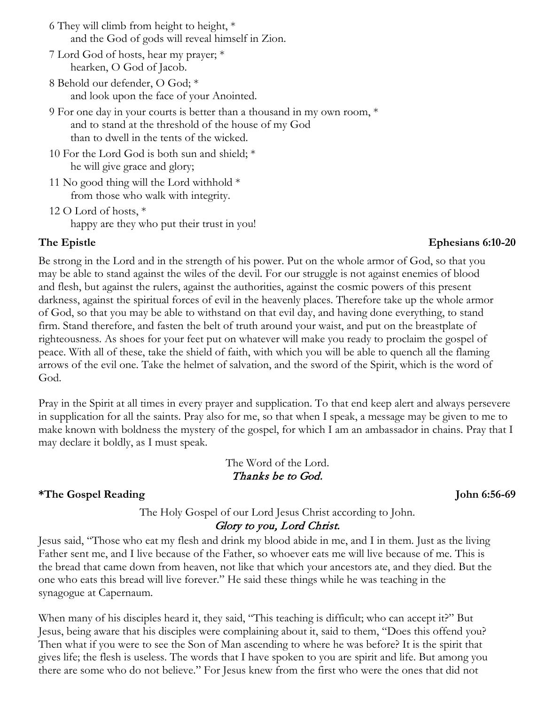- 6 They will climb from height to height, \* and the God of gods will reveal himself in Zion.
- 7 Lord God of hosts, hear my prayer; \* hearken, O God of Jacob.
- 8 Behold our defender, O God; \* and look upon the face of your Anointed.
- 9 For one day in your courts is better than a thousand in my own room, \* and to stand at the threshold of the house of my God than to dwell in the tents of the wicked.
- 10 For the Lord God is both sun and shield; \* he will give grace and glory;
- 11 No good thing will the Lord withhold  $*$ from those who walk with integrity.
- 12 O Lord of hosts, \* happy are they who put their trust in you!

# **The Epistle Ephesians 6:10-20**

Be strong in the Lord and in the strength of his power. Put on the whole armor of God, so that you may be able to stand against the wiles of the devil. For our struggle is not against enemies of blood and flesh, but against the rulers, against the authorities, against the cosmic powers of this present darkness, against the spiritual forces of evil in the heavenly places. Therefore take up the whole armor of God, so that you may be able to withstand on that evil day, and having done everything, to stand firm. Stand therefore, and fasten the belt of truth around your waist, and put on the breastplate of righteousness. As shoes for your feet put on whatever will make you ready to proclaim the gospel of peace. With all of these, take the shield of faith, with which you will be able to quench all the flaming arrows of the evil one. Take the helmet of salvation, and the sword of the Spirit, which is the word of God.

Pray in the Spirit at all times in every prayer and supplication. To that end keep alert and always persevere in supplication for all the saints. Pray also for me, so that when I speak, a message may be given to me to make known with boldness the mystery of the gospel, for which I am an ambassador in chains. Pray that I may declare it boldly, as I must speak.

### The Word of the Lord. Thanks be to God.

# **\*The Gospel Reading John 6:56-69**

### The Holy Gospel of our Lord Jesus Christ according to John. Glory to you, Lord Christ.

Jesus said, "Those who eat my flesh and drink my blood abide in me, and I in them. Just as the living Father sent me, and I live because of the Father, so whoever eats me will live because of me. This is the bread that came down from heaven, not like that which your ancestors ate, and they died. But the one who eats this bread will live forever." He said these things while he was teaching in the synagogue at Capernaum.

When many of his disciples heard it, they said, "This teaching is difficult; who can accept it?" But Jesus, being aware that his disciples were complaining about it, said to them, "Does this offend you? Then what if you were to see the Son of Man ascending to where he was before? It is the spirit that gives life; the flesh is useless. The words that I have spoken to you are spirit and life. But among you there are some who do not believe." For Jesus knew from the first who were the ones that did not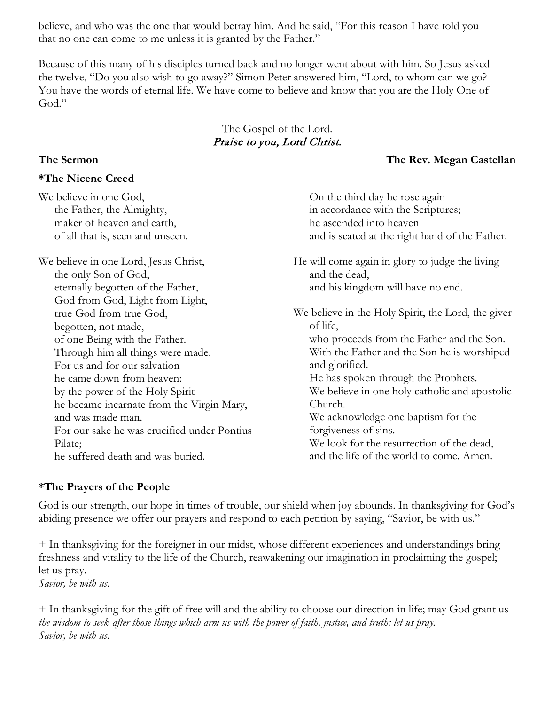believe, and who was the one that would betray him. And he said, "For this reason I have told you that no one can come to me unless it is granted by the Father."

Because of this many of his disciples turned back and no longer went about with him. So Jesus asked the twelve, "Do you also wish to go away?" Simon Peter answered him, "Lord, to whom can we go? You have the words of eternal life. We have come to believe and know that you are the Holy One of God."

## The Gospel of the Lord. Praise to you, Lord Christ.

### **The Sermon The Rev. Megan Castellan**

| We believe in one God,                                                                                                                | On the third day he rose again                                                                        |
|---------------------------------------------------------------------------------------------------------------------------------------|-------------------------------------------------------------------------------------------------------|
| the Father, the Almighty,                                                                                                             | in accordance with the Scriptures;                                                                    |
| maker of heaven and earth,                                                                                                            | he ascended into heaven                                                                               |
| of all that is, seen and unseen.                                                                                                      | and is seated at the right hand of the Father.                                                        |
| We believe in one Lord, Jesus Christ,<br>the only Son of God,<br>eternally begotten of the Father,<br>God from God, Light from Light, | He will come again in glory to judge the living<br>and the dead,<br>and his kingdom will have no end. |
| true God from true God,                                                                                                               | We believe in the Holy Spirit, the Lord, the giver                                                    |
| begotten, not made,                                                                                                                   | of life,                                                                                              |
| of one Being with the Father.                                                                                                         | who proceeds from the Father and the Son.                                                             |
| Through him all things were made.                                                                                                     | With the Father and the Son he is worshiped                                                           |
| For us and for our salvation                                                                                                          | and glorified.                                                                                        |
| he came down from heaven:                                                                                                             | He has spoken through the Prophets.                                                                   |
| by the power of the Holy Spirit                                                                                                       | We believe in one holy catholic and apostolic                                                         |
| he became incarnate from the Virgin Mary,                                                                                             | Church.                                                                                               |
| and was made man.                                                                                                                     | We acknowledge one baptism for the                                                                    |
| For our sake he was crucified under Pontius                                                                                           | forgiveness of sins.                                                                                  |
| Pilate;                                                                                                                               | We look for the resurrection of the dead,                                                             |
| he suffered death and was buried.                                                                                                     | and the life of the world to come. Amen.                                                              |

## **\*The Prayers of the People**

**\*The Nicene Creed**

God is our strength, our hope in times of trouble, our shield when joy abounds. In thanksgiving for God's abiding presence we offer our prayers and respond to each petition by saying, "Savior, be with us."

+ In thanksgiving for the foreigner in our midst, whose different experiences and understandings bring freshness and vitality to the life of the Church, reawakening our imagination in proclaiming the gospel; let us pray.

*Savior, be with us.*

+ In thanksgiving for the gift of free will and the ability to choose our direction in life; may God grant us *the wisdom to seek after those things which arm us with the power of faith, justice, and truth; let us pray. Savior, be with us.*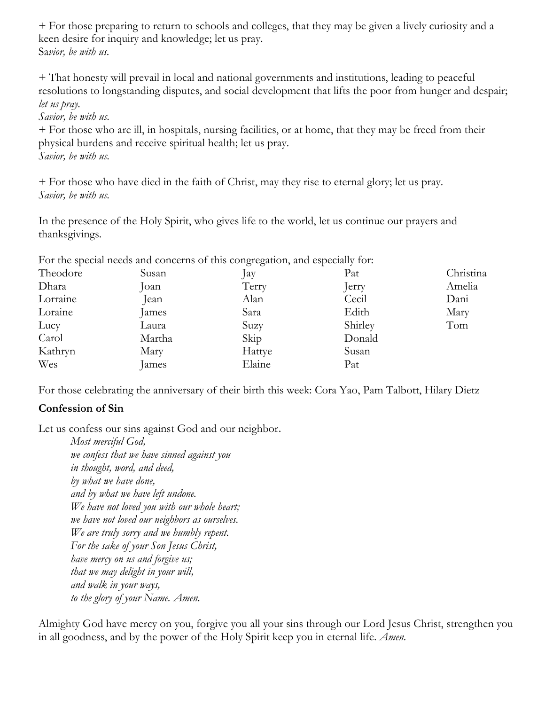+ For those preparing to return to schools and colleges, that they may be given a lively curiosity and a keen desire for inquiry and knowledge; let us pray. Sa*vior, be with us.*

+ That honesty will prevail in local and national governments and institutions, leading to peaceful resolutions to longstanding disputes, and social development that lifts the poor from hunger and despair; *let us pray.*

*Savior, be with us.*

+ For those who are ill, in hospitals, nursing facilities, or at home, that they may be freed from their physical burdens and receive spiritual health; let us pray. *Savior, be with us.*

+ For those who have died in the faith of Christ, may they rise to eternal glory; let us pray. *Savior, be with us.*

In the presence of the Holy Spirit, who gives life to the world, let us continue our prayers and thanksgivings.

For the special needs and concerns of this congregation, and especially for:

| Theodore | Susan  | $\int ay$ | Pat     | Christina |
|----------|--------|-----------|---------|-----------|
| Dhara    | Joan   | Terry     | Jerry   | Amelia    |
| Lorraine | lean   | Alan      | Cecil   | Dani      |
| Loraine  | James  | Sara      | Edith   | Mary      |
| Lucy     | Laura  | Suzy      | Shirley | Tom       |
| Carol    | Martha | Skip      | Donald  |           |
| Kathryn  | Mary   | Hattye    | Susan   |           |
| Wes      | James  | Elaine    | Pat     |           |

For those celebrating the anniversary of their birth this week: Cora Yao, Pam Talbott, Hilary Dietz

## **Confession of Sin**

Let us confess our sins against God and our neighbor.

*Most merciful God, we confess that we have sinned against you in thought, word, and deed, by what we have done, and by what we have left undone. We have not loved you with our whole heart; we have not loved our neighbors as ourselves. We are truly sorry and we humbly repent. For the sake of your Son Jesus Christ, have mercy on us and forgive us; that we may delight in your will, and walk in your ways, to the glory of your Name. Amen.*

Almighty God have mercy on you, forgive you all your sins through our Lord Jesus Christ, strengthen you in all goodness, and by the power of the Holy Spirit keep you in eternal life. *Amen.*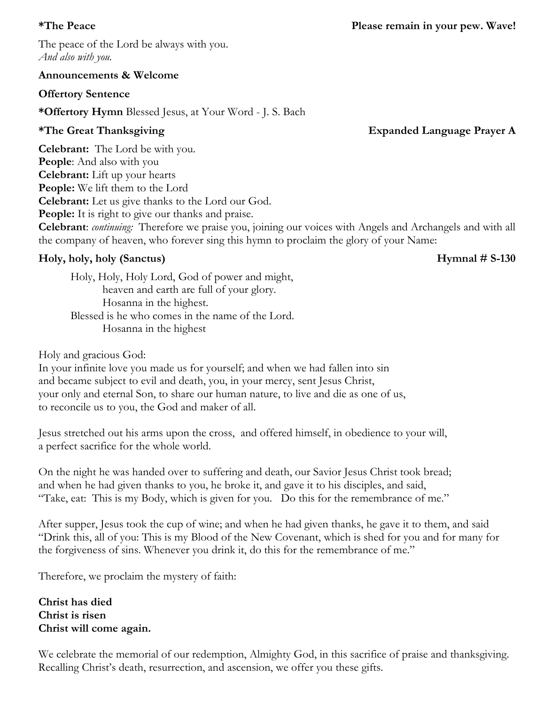### **Announcements & Welcome**

## **Offertory Sentence**

**\*Offertory Hymn** Blessed Jesus, at Your Word - J. S. Bach

# **\*The Great Thanksgiving Expanded Language Prayer A**

**Celebrant:** The Lord be with you. **People**: And also with you **Celebrant:** Lift up your hearts **People:** We lift them to the Lord **Celebrant:** Let us give thanks to the Lord our God. **People:** It is right to give our thanks and praise. **Celebrant**: *continuing:* Therefore we praise you, joining our voices with Angels and Archangels and with all the company of heaven, who forever sing this hymn to proclaim the glory of your Name:

# **Holy, holy, holy (Sanctus) Hymnal # S-130**

Holy, Holy, Holy Lord, God of power and might, heaven and earth are full of your glory. Hosanna in the highest. Blessed is he who comes in the name of the Lord. Hosanna in the highest

Holy and gracious God:

In your infinite love you made us for yourself; and when we had fallen into sin and became subject to evil and death, you, in your mercy, sent Jesus Christ, your only and eternal Son, to share our human nature, to live and die as one of us, to reconcile us to you, the God and maker of all.

Jesus stretched out his arms upon the cross, and offered himself, in obedience to your will, a perfect sacrifice for the whole world.

On the night he was handed over to suffering and death, our Savior Jesus Christ took bread; and when he had given thanks to you, he broke it, and gave it to his disciples, and said, "Take, eat: This is my Body, which is given for you. Do this for the remembrance of me."

After supper, Jesus took the cup of wine; and when he had given thanks, he gave it to them, and said "Drink this, all of you: This is my Blood of the New Covenant, which is shed for you and for many for the forgiveness of sins. Whenever you drink it, do this for the remembrance of me."

Therefore, we proclaim the mystery of faith:

# **Christ has died Christ is risen Christ will come again.**

We celebrate the memorial of our redemption, Almighty God, in this sacrifice of praise and thanksgiving. Recalling Christ's death, resurrection, and ascension, we offer you these gifts.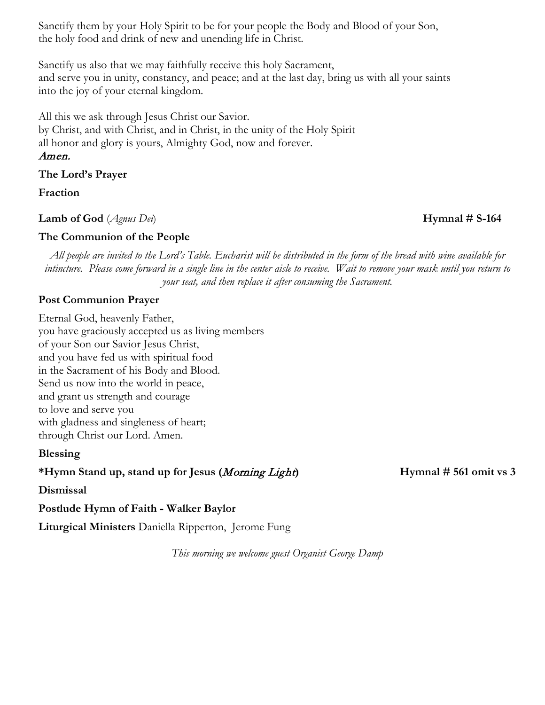Sanctify them by your Holy Spirit to be for your people the Body and Blood of your Son, the holy food and drink of new and unending life in Christ.

Sanctify us also that we may faithfully receive this holy Sacrament, and serve you in unity, constancy, and peace; and at the last day, bring us with all your saints into the joy of your eternal kingdom.

All this we ask through Jesus Christ our Savior. by Christ, and with Christ, and in Christ, in the unity of the Holy Spirit all honor and glory is yours, Almighty God, now and forever. Amen.

**The Lord's Prayer**

**Fraction**

**Lamb of God** (*Agnus Dei*) **Hymnal # S-164**

## **The Communion of the People**

*All people are invited to the Lord's Table. Eucharist will be distributed in the form of the bread with wine available for intincture. Please come forward in a single line in the center aisle to receive. Wait to remove your mask until you return to your seat, and then replace it after consuming the Sacrament.* 

## **Post Communion Prayer**

Eternal God, heavenly Father, you have graciously accepted us as living members of your Son our Savior Jesus Christ, and you have fed us with spiritual food in the Sacrament of his Body and Blood. Send us now into the world in peace, and grant us strength and courage to love and serve you with gladness and singleness of heart; through Christ our Lord. Amen.

## **Blessing**

**\*Hymn Stand up, stand up for Jesus (**Morning Light**) Hymnal # 561 omit vs 3**

### **Dismissal**

**Postlude Hymn of Faith - Walker Baylor**

**Liturgical Ministers** Daniella Ripperton, Jerome Fung

*This morning we welcome guest Organist George Damp*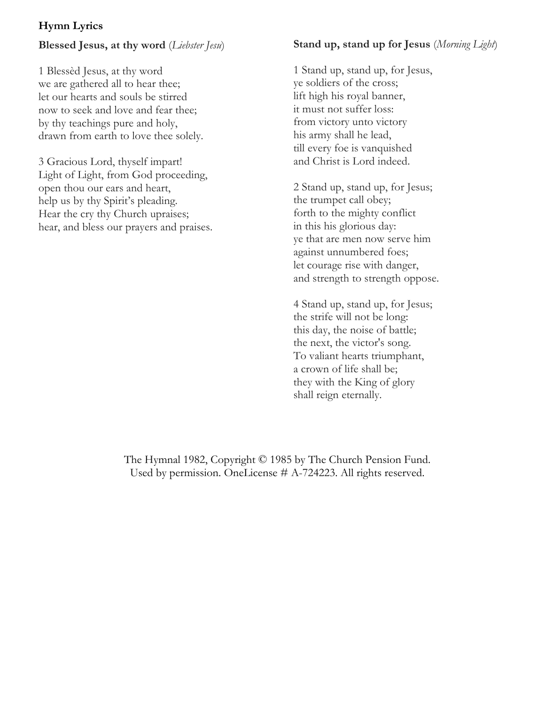## **Hymn Lyrics**

### **Blessed Jesus, at thy word** (*Liebster Jesu*)

1 Blessèd Jesus, at thy word we are gathered all to hear thee; let our hearts and souls be stirred now to seek and love and fear thee; by thy teachings pure and holy, drawn from earth to love thee solely.

3 Gracious Lord, thyself impart! Light of Light, from God proceeding, open thou our ears and heart, help us by thy Spirit's pleading. Hear the cry thy Church upraises; hear, and bless our prayers and praises.

## **Stand up, stand up for Jesus** (*Morning Light*)

1 Stand up, stand up, for Jesus, ye soldiers of the cross; lift high his royal banner, it must not suffer loss: from victory unto victory his army shall he lead, till every foe is vanquished and Christ is Lord indeed.

2 Stand up, stand up, for Jesus; the trumpet call obey; forth to the mighty conflict in this his glorious day: ye that are men now serve him against unnumbered foes; let courage rise with danger, and strength to strength oppose.

4 Stand up, stand up, for Jesus; the strife will not be long: this day, the noise of battle; the next, the victor's song. To valiant hearts triumphant, a crown of life shall be; they with the King of glory shall reign eternally.

The Hymnal 1982, Copyright © 1985 by The Church Pension Fund. Used by permission. OneLicense # A-724223. All rights reserved.